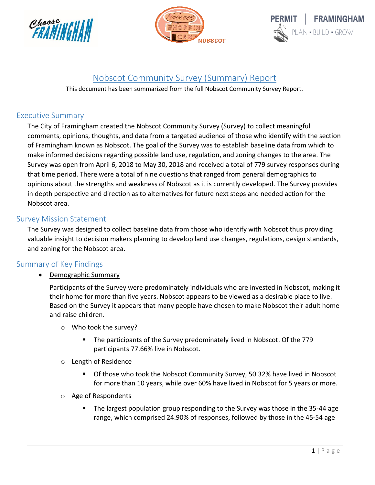





# Nobscot Community Survey (Summary) Report

This document has been summarized from the full Nobscot Community Survey Report.

## Executive Summary

The City of Framingham created the Nobscot Community Survey (Survey) to collect meaningful comments, opinions, thoughts, and data from a targeted audience of those who identify with the section of Framingham known as Nobscot. The goal of the Survey was to establish baseline data from which to make informed decisions regarding possible land use, regulation, and zoning changes to the area. The Survey was open from April 6, 2018 to May 30, 2018 and received a total of 779 survey responses during that time period. There were a total of nine questions that ranged from general demographics to opinions about the strengths and weakness of Nobscot as it is currently developed. The Survey provides in depth perspective and direction as to alternatives for future next steps and needed action for the Nobscot area.

### Survey Mission Statement

The Survey was designed to collect baseline data from those who identify with Nobscot thus providing valuable insight to decision makers planning to develop land use changes, regulations, design standards, and zoning for the Nobscot area.

### Summary of Key Findings

Demographic Summary

Participants of the Survey were predominately individuals who are invested in Nobscot, making it their home for more than five years. Nobscot appears to be viewed as a desirable place to live. Based on the Survey it appears that many people have chosen to make Nobscot their adult home and raise children.

- o Who took the survey?
	- The participants of the Survey predominately lived in Nobscot. Of the 779 participants 77.66% live in Nobscot.
- o Length of Residence
	- Of those who took the Nobscot Community Survey, 50.32% have lived in Nobscot for more than 10 years, while over 60% have lived in Nobscot for 5 years or more.
- o Age of Respondents
	- The largest population group responding to the Survey was those in the 35-44 age range, which comprised 24.90% of responses, followed by those in the 45-54 age